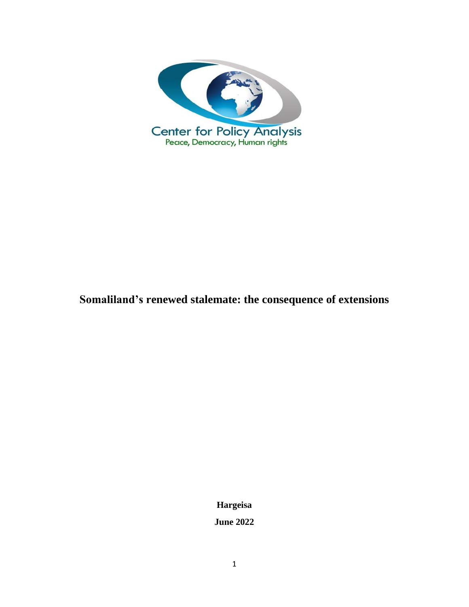

# **Somaliland's renewed stalemate: the consequence of extensions**

**Hargeisa**

**June 2022**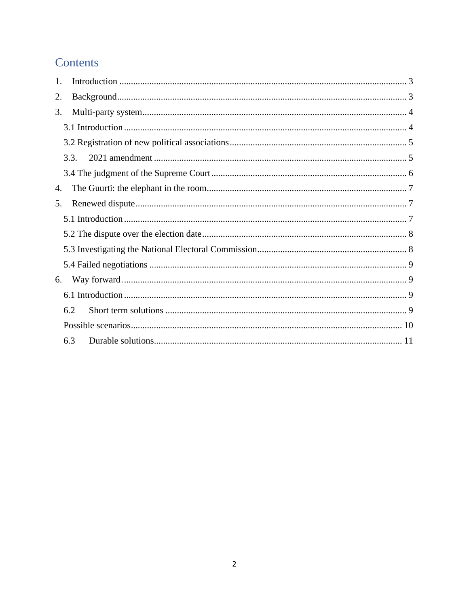# Contents

| 1. |      |  |
|----|------|--|
| 2. |      |  |
| 3. |      |  |
|    |      |  |
|    |      |  |
|    | 3.3. |  |
|    |      |  |
| 4. |      |  |
| 5. |      |  |
|    |      |  |
|    |      |  |
|    |      |  |
|    |      |  |
| 6. |      |  |
|    |      |  |
|    | 6.2  |  |
|    |      |  |
|    | 6.3  |  |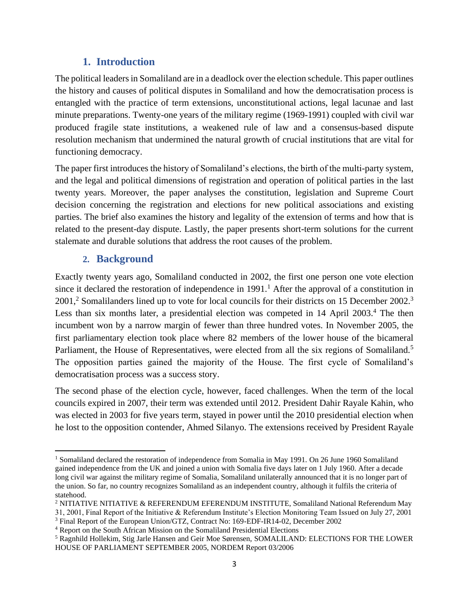## **1. Introduction**

<span id="page-2-0"></span>The political leaders in Somaliland are in a deadlock over the election schedule. This paper outlines the history and causes of political disputes in Somaliland and how the democratisation process is entangled with the practice of term extensions, unconstitutional actions, legal lacunae and last minute preparations. Twenty-one years of the military regime (1969-1991) coupled with civil war produced fragile state institutions, a weakened rule of law and a consensus-based dispute resolution mechanism that undermined the natural growth of crucial institutions that are vital for functioning democracy.

The paper first introduces the history of Somaliland's elections, the birth of the multi-party system, and the legal and political dimensions of registration and operation of political parties in the last twenty years. Moreover, the paper analyses the constitution, legislation and Supreme Court decision concerning the registration and elections for new political associations and existing parties. The brief also examines the history and legality of the extension of terms and how that is related to the present-day dispute. Lastly, the paper presents short-term solutions for the current stalemate and durable solutions that address the root causes of the problem.

## **2. Background**

<span id="page-2-1"></span>Exactly twenty years ago, Somaliland conducted in 2002, the first one person one vote election since it declared the restoration of independence in  $1991<sup>1</sup>$ . After the approval of a constitution in 2001,<sup>2</sup> Somalilanders lined up to vote for local councils for their districts on 15 December 2002.<sup>3</sup> Less than six months later, a presidential election was competed in 14 April 2003.<sup>4</sup> The then incumbent won by a narrow margin of fewer than three hundred votes. In November 2005, the first parliamentary election took place where 82 members of the lower house of the bicameral Parliament, the House of Representatives, were elected from all the six regions of Somaliland.<sup>5</sup> The opposition parties gained the majority of the House. The first cycle of Somaliland's democratisation process was a success story.

The second phase of the election cycle, however, faced challenges. When the term of the local councils expired in 2007, their term was extended until 2012. President Dahir Rayale Kahin, who was elected in 2003 for five years term, stayed in power until the 2010 presidential election when he lost to the opposition contender, Ahmed Silanyo. The extensions received by President Rayale

<sup>&</sup>lt;sup>1</sup> Somaliland declared the restoration of independence from Somalia in May 1991. On 26 June 1960 Somaliland gained independence from the UK and joined a union with Somalia five days later on 1 July 1960. After a decade long civil war against the military regime of Somalia, Somaliland unilaterally announced that it is no longer part of the union. So far, no country recognizes Somaliland as an independent country, although it fulfils the criteria of statehood.

<sup>2</sup> NITIATIVE NITIATIVE & REFERENDUM EFERENDUM INSTITUTE, Somaliland National Referendum May 31, 2001, Final Report of the Initiative & Referendum Institute's Election Monitoring Team Issued on July 27, 2001

<sup>3</sup> Final Report of the European Union/GTZ, Contract No: 169-EDF-IR14-02, December 2002

<sup>4</sup> Report on the South African Mission on the Somaliland Presidential Elections

<sup>5</sup> Ragnhild Hollekim, Stig Jarle Hansen and Geir Moe Sørensen, SOMALILAND: ELECTIONS FOR THE LOWER HOUSE OF PARLIAMENT SEPTEMBER 2005, NORDEM Report 03/2006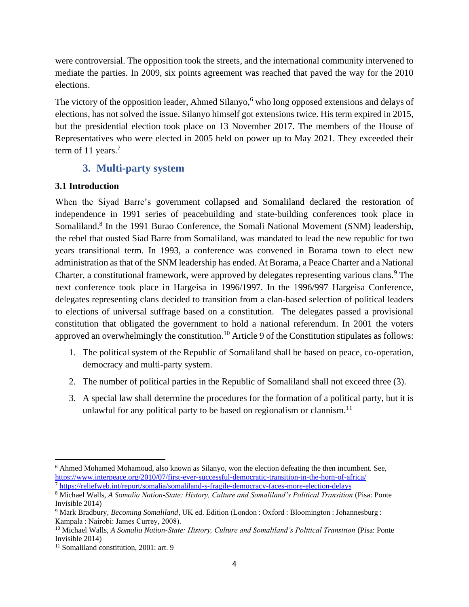were controversial. The opposition took the streets, and the international community intervened to mediate the parties. In 2009, six points agreement was reached that paved the way for the 2010 elections.

The victory of the opposition leader, Ahmed Silanyo,<sup>6</sup> who long opposed extensions and delays of elections, has not solved the issue. Silanyo himself got extensions twice. His term expired in 2015, but the presidential election took place on 13 November 2017. The members of the House of Representatives who were elected in 2005 held on power up to May 2021. They exceeded their term of 11 years.<sup>7</sup>

# **3. Multi-party system**

## <span id="page-3-1"></span><span id="page-3-0"></span>**3.1 Introduction**

When the Siyad Barre's government collapsed and Somaliland declared the restoration of independence in 1991 series of peacebuilding and state-building conferences took place in Somaliland.<sup>8</sup> In the 1991 Burao Conference, the Somali National Movement (SNM) leadership, the rebel that ousted Siad Barre from Somaliland, was mandated to lead the new republic for two years transitional term. In 1993, a conference was convened in Borama town to elect new administration as that of the SNM leadership has ended. At Borama, a Peace Charter and a National Charter, a constitutional framework, were approved by delegates representing various clans.<sup>9</sup> The next conference took place in Hargeisa in 1996/1997. In the 1996/997 Hargeisa Conference, delegates representing clans decided to transition from a clan-based selection of political leaders to elections of universal suffrage based on a constitution. The delegates passed a provisional constitution that obligated the government to hold a national referendum. In 2001 the voters approved an overwhelmingly the constitution.<sup>10</sup> Article 9 of the Constitution stipulates as follows:

- 1. The political system of the Republic of Somaliland shall be based on peace, co-operation, democracy and multi-party system.
- 2. The number of political parties in the Republic of Somaliland shall not exceed three (3).
- 3. A special law shall determine the procedures for the formation of a political party, but it is unlawful for any political party to be based on regionalism or clannism.<sup>11</sup>

<sup>&</sup>lt;sup>6</sup> Ahmed Mohamed Mohamoud, also known as Silanyo, won the election defeating the then incumbent. See, <https://www.interpeace.org/2010/07/first-ever-successful-democratic-transition-in-the-horn-of-africa/> <sup>7</sup> <https://reliefweb.int/report/somalia/somaliland-s-fragile-democracy-faces-more-election-delays>

<sup>8</sup> Michael Walls, *A Somalia Nation-State: History, Culture and Somaliland's Political Transition* (Pisa: Ponte Invisible 2014)

<sup>9</sup> Mark Bradbury, *Becoming Somaliland*, UK ed. Edition (London : Oxford : Bloomington : Johannesburg : Kampala : Nairobi: James Currey, 2008).

<sup>10</sup> Michael Walls, *A Somalia Nation-State: History, Culture and Somaliland's Political Transition* (Pisa: Ponte Invisible 2014)

<sup>&</sup>lt;sup>11</sup> Somaliland constitution, 2001: art. 9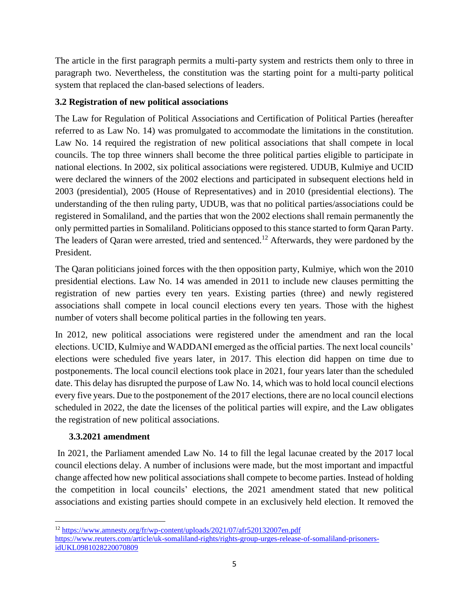The article in the first paragraph permits a multi-party system and restricts them only to three in paragraph two. Nevertheless, the constitution was the starting point for a multi-party political system that replaced the clan-based selections of leaders.

### <span id="page-4-0"></span>**3.2 Registration of new political associations**

The Law for Regulation of Political Associations and Certification of Political Parties (hereafter referred to as Law No. 14) was promulgated to accommodate the limitations in the constitution. Law No. 14 required the registration of new political associations that shall compete in local councils. The top three winners shall become the three political parties eligible to participate in national elections. In 2002, six political associations were registered. UDUB, Kulmiye and UCID were declared the winners of the 2002 elections and participated in subsequent elections held in 2003 (presidential), 2005 (House of Representatives) and in 2010 (presidential elections). The understanding of the then ruling party, UDUB, was that no political parties/associations could be registered in Somaliland, and the parties that won the 2002 elections shall remain permanently the only permitted parties in Somaliland. Politicians opposed to this stance started to form Qaran Party. The leaders of Qaran were arrested, tried and sentenced.<sup>12</sup> Afterwards, they were pardoned by the President.

The Qaran politicians joined forces with the then opposition party, Kulmiye, which won the 2010 presidential elections. Law No. 14 was amended in 2011 to include new clauses permitting the registration of new parties every ten years. Existing parties (three) and newly registered associations shall compete in local council elections every ten years. Those with the highest number of voters shall become political parties in the following ten years.

In 2012, new political associations were registered under the amendment and ran the local elections. UCID, Kulmiye and WADDANI emerged as the official parties. The next local councils' elections were scheduled five years later, in 2017. This election did happen on time due to postponements. The local council elections took place in 2021, four years later than the scheduled date. This delay has disrupted the purpose of Law No. 14, which was to hold local council elections every five years. Due to the postponement of the 2017 elections, there are no local council elections scheduled in 2022, the date the licenses of the political parties will expire, and the Law obligates the registration of new political associations.

## <span id="page-4-1"></span>**3.3.2021 amendment**

In 2021, the Parliament amended Law No. 14 to fill the legal lacunae created by the 2017 local council elections delay. A number of inclusions were made, but the most important and impactful change affected how new political associations shall compete to become parties. Instead of holding the competition in local councils' elections, the 2021 amendment stated that new political associations and existing parties should compete in an exclusively held election. It removed the

<sup>12</sup> <https://www.amnesty.org/fr/wp-content/uploads/2021/07/afr520132007en.pdf> [https://www.reuters.com/article/uk-somaliland-rights/rights-group-urges-release-of-somaliland-prisoners](https://www.reuters.com/article/uk-somaliland-rights/rights-group-urges-release-of-somaliland-prisoners-idUKL0981028220070809)[idUKL0981028220070809](https://www.reuters.com/article/uk-somaliland-rights/rights-group-urges-release-of-somaliland-prisoners-idUKL0981028220070809)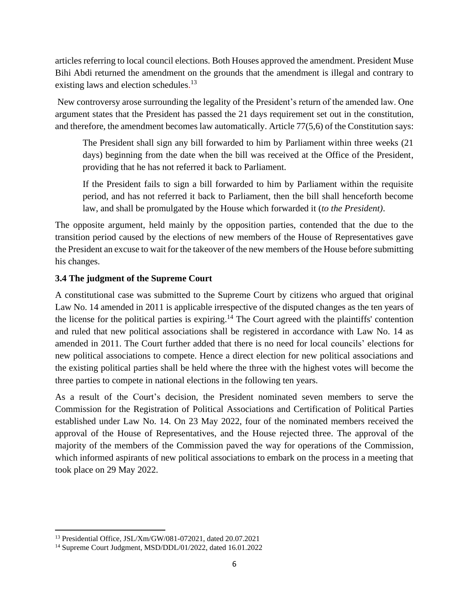articles referring to local council elections. Both Houses approved the amendment. President Muse Bihi Abdi returned the amendment on the grounds that the amendment is illegal and contrary to existing laws and election schedules.<sup>13</sup>

New controversy arose surrounding the legality of the President's return of the amended law. One argument states that the President has passed the 21 days requirement set out in the constitution, and therefore, the amendment becomes law automatically. Article 77(5,6) of the Constitution says:

The President shall sign any bill forwarded to him by Parliament within three weeks (21 days) beginning from the date when the bill was received at the Office of the President, providing that he has not referred it back to Parliament.

If the President fails to sign a bill forwarded to him by Parliament within the requisite period, and has not referred it back to Parliament, then the bill shall henceforth become law, and shall be promulgated by the House which forwarded it (*to the President)*.

The opposite argument, held mainly by the opposition parties, contended that the due to the transition period caused by the elections of new members of the House of Representatives gave the President an excuse to wait for the takeover of the new members of the House before submitting his changes.

#### <span id="page-5-0"></span>**3.4 The judgment of the Supreme Court**

A constitutional case was submitted to the Supreme Court by citizens who argued that original Law No. 14 amended in 2011 is applicable irrespective of the disputed changes as the ten years of the license for the political parties is expiring.<sup>14</sup> The Court agreed with the plaintiffs' contention and ruled that new political associations shall be registered in accordance with Law No. 14 as amended in 2011. The Court further added that there is no need for local councils' elections for new political associations to compete. Hence a direct election for new political associations and the existing political parties shall be held where the three with the highest votes will become the three parties to compete in national elections in the following ten years.

As a result of the Court's decision, the President nominated seven members to serve the Commission for the Registration of Political Associations and Certification of Political Parties established under Law No. 14. On 23 May 2022, four of the nominated members received the approval of the House of Representatives, and the House rejected three. The approval of the majority of the members of the Commission paved the way for operations of the Commission, which informed aspirants of new political associations to embark on the process in a meeting that took place on 29 May 2022.

<sup>13</sup> Presidential Office, JSL/Xm/GW/081-072021, dated 20.07.2021

<sup>14</sup> Supreme Court Judgment, MSD/DDL/01/2022, dated 16.01.2022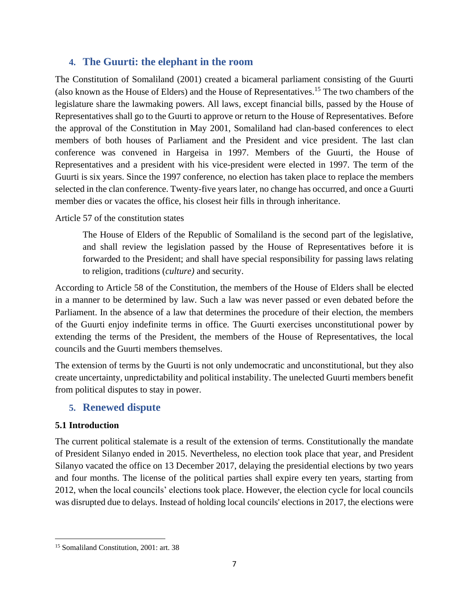## <span id="page-6-0"></span>**4. The Guurti: the elephant in the room**

The Constitution of Somaliland (2001) created a bicameral parliament consisting of the Guurti (also known as the House of Elders) and the House of Representatives.<sup>15</sup> The two chambers of the legislature share the lawmaking powers. All laws, except financial bills, passed by the House of Representatives shall go to the Guurti to approve or return to the House of Representatives. Before the approval of the Constitution in May 2001, Somaliland had clan-based conferences to elect members of both houses of Parliament and the President and vice president. The last clan conference was convened in Hargeisa in 1997. Members of the Guurti, the House of Representatives and a president with his vice-president were elected in 1997. The term of the Guurti is six years. Since the 1997 conference, no election has taken place to replace the members selected in the clan conference. Twenty-five years later, no change has occurred, and once a Guurti member dies or vacates the office, his closest heir fills in through inheritance.

Article 57 of the constitution states

The House of Elders of the Republic of Somaliland is the second part of the legislative, and shall review the legislation passed by the House of Representatives before it is forwarded to the President; and shall have special responsibility for passing laws relating to religion, traditions (*culture)* and security.

According to Article 58 of the Constitution, the members of the House of Elders shall be elected in a manner to be determined by law. Such a law was never passed or even debated before the Parliament. In the absence of a law that determines the procedure of their election, the members of the Guurti enjoy indefinite terms in office. The Guurti exercises unconstitutional power by extending the terms of the President, the members of the House of Representatives, the local councils and the Guurti members themselves.

The extension of terms by the Guurti is not only undemocratic and unconstitutional, but they also create uncertainty, unpredictability and political instability. The unelected Guurti members benefit from political disputes to stay in power.

## <span id="page-6-1"></span>**5. Renewed dispute**

#### <span id="page-6-2"></span>**5.1 Introduction**

The current political stalemate is a result of the extension of terms. Constitutionally the mandate of President Silanyo ended in 2015. Nevertheless, no election took place that year, and President Silanyo vacated the office on 13 December 2017, delaying the presidential elections by two years and four months. The license of the political parties shall expire every ten years, starting from 2012, when the local councils' elections took place. However, the election cycle for local councils was disrupted due to delays. Instead of holding local councils' elections in 2017, the elections were

<sup>15</sup> Somaliland Constitution, 2001: art. 38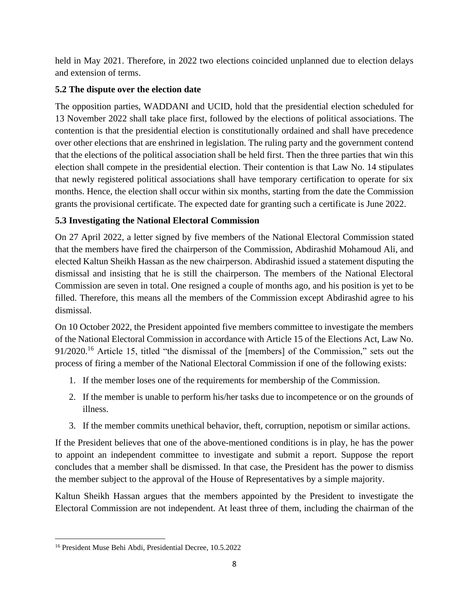held in May 2021. Therefore, in 2022 two elections coincided unplanned due to election delays and extension of terms.

## <span id="page-7-0"></span>**5.2 The dispute over the election date**

The opposition parties, WADDANI and UCID, hold that the presidential election scheduled for 13 November 2022 shall take place first, followed by the elections of political associations. The contention is that the presidential election is constitutionally ordained and shall have precedence over other elections that are enshrined in legislation. The ruling party and the government contend that the elections of the political association shall be held first. Then the three parties that win this election shall compete in the presidential election. Their contention is that Law No. 14 stipulates that newly registered political associations shall have temporary certification to operate for six months. Hence, the election shall occur within six months, starting from the date the Commission grants the provisional certificate. The expected date for granting such a certificate is June 2022.

# <span id="page-7-1"></span>**5.3 Investigating the National Electoral Commission**

On 27 April 2022, a letter signed by five members of the National Electoral Commission stated that the members have fired the chairperson of the Commission, Abdirashid Mohamoud Ali, and elected Kaltun Sheikh Hassan as the new chairperson. Abdirashid issued a statement disputing the dismissal and insisting that he is still the chairperson. The members of the National Electoral Commission are seven in total. One resigned a couple of months ago, and his position is yet to be filled. Therefore, this means all the members of the Commission except Abdirashid agree to his dismissal.

On 10 October 2022, the President appointed five members committee to investigate the members of the National Electoral Commission in accordance with Article 15 of the Elections Act, Law No. 91/2020.<sup>16</sup> Article 15, titled "the dismissal of the [members] of the Commission," sets out the process of firing a member of the National Electoral Commission if one of the following exists:

- 1. If the member loses one of the requirements for membership of the Commission.
- 2. If the member is unable to perform his/her tasks due to incompetence or on the grounds of illness.
- 3. If the member commits unethical behavior, theft, corruption, nepotism or similar actions.

If the President believes that one of the above-mentioned conditions is in play, he has the power to appoint an independent committee to investigate and submit a report. Suppose the report concludes that a member shall be dismissed. In that case, the President has the power to dismiss the member subject to the approval of the House of Representatives by a simple majority.

Kaltun Sheikh Hassan argues that the members appointed by the President to investigate the Electoral Commission are not independent. At least three of them, including the chairman of the

<sup>16</sup> President Muse Behi Abdi, Presidential Decree, 10.5.2022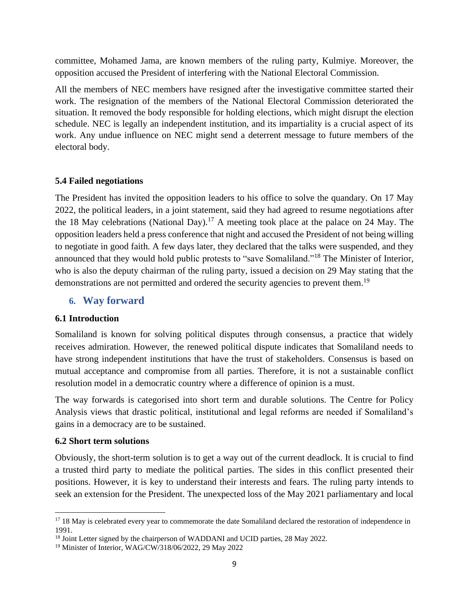committee, Mohamed Jama, are known members of the ruling party, Kulmiye. Moreover, the opposition accused the President of interfering with the National Electoral Commission.

All the members of NEC members have resigned after the investigative committee started their work. The resignation of the members of the National Electoral Commission deteriorated the situation. It removed the body responsible for holding elections, which might disrupt the election schedule. NEC is legally an independent institution, and its impartiality is a crucial aspect of its work. Any undue influence on NEC might send a deterrent message to future members of the electoral body.

#### <span id="page-8-0"></span>**5.4 Failed negotiations**

The President has invited the opposition leaders to his office to solve the quandary. On 17 May 2022, the political leaders, in a joint statement, said they had agreed to resume negotiations after the 18 May celebrations (National Day).<sup>17</sup> A meeting took place at the palace on 24 May. The opposition leaders held a press conference that night and accused the President of not being willing to negotiate in good faith. A few days later, they declared that the talks were suspended, and they announced that they would hold public protests to "save Somaliland."<sup>18</sup> The Minister of Interior, who is also the deputy chairman of the ruling party, issued a decision on 29 May stating that the demonstrations are not permitted and ordered the security agencies to prevent them.<sup>19</sup>

## <span id="page-8-1"></span>**6. Way forward**

#### <span id="page-8-2"></span>**6.1 Introduction**

Somaliland is known for solving political disputes through consensus, a practice that widely receives admiration. However, the renewed political dispute indicates that Somaliland needs to have strong independent institutions that have the trust of stakeholders. Consensus is based on mutual acceptance and compromise from all parties. Therefore, it is not a sustainable conflict resolution model in a democratic country where a difference of opinion is a must.

The way forwards is categorised into short term and durable solutions. The Centre for Policy Analysis views that drastic political, institutional and legal reforms are needed if Somaliland's gains in a democracy are to be sustained.

#### <span id="page-8-3"></span>**6.2 Short term solutions**

Obviously, the short-term solution is to get a way out of the current deadlock. It is crucial to find a trusted third party to mediate the political parties. The sides in this conflict presented their positions. However, it is key to understand their interests and fears. The ruling party intends to seek an extension for the President. The unexpected loss of the May 2021 parliamentary and local

<sup>&</sup>lt;sup>17</sup> 18 May is celebrated every year to commemorate the date Somaliland declared the restoration of independence in 1991.

<sup>&</sup>lt;sup>18</sup> Joint Letter signed by the chairperson of WADDANI and UCID parties, 28 May 2022.

<sup>19</sup> Minister of Interior, WAG/CW/318/06/2022, 29 May 2022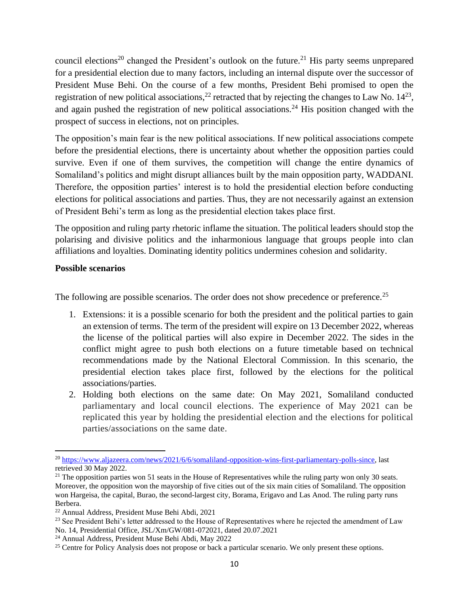council elections<sup>20</sup> changed the President's outlook on the future.<sup>21</sup> His party seems unprepared for a presidential election due to many factors, including an internal dispute over the successor of President Muse Behi. On the course of a few months, President Behi promised to open the registration of new political associations,<sup>22</sup> retracted that by rejecting the changes to Law No.  $14^{23}$ , and again pushed the registration of new political associations.<sup>24</sup> His position changed with the prospect of success in elections, not on principles.

The opposition's main fear is the new political associations. If new political associations compete before the presidential elections, there is uncertainty about whether the opposition parties could survive. Even if one of them survives, the competition will change the entire dynamics of Somaliland's politics and might disrupt alliances built by the main opposition party, WADDANI. Therefore, the opposition parties' interest is to hold the presidential election before conducting elections for political associations and parties. Thus, they are not necessarily against an extension of President Behi's term as long as the presidential election takes place first.

The opposition and ruling party rhetoric inflame the situation. The political leaders should stop the polarising and divisive politics and the inharmonious language that groups people into clan affiliations and loyalties. Dominating identity politics undermines cohesion and solidarity.

#### <span id="page-9-0"></span>**Possible scenarios**

The following are possible scenarios. The order does not show precedence or preference.<sup>25</sup>

- 1. Extensions: it is a possible scenario for both the president and the political parties to gain an extension of terms. The term of the president will expire on 13 December 2022, whereas the license of the political parties will also expire in December 2022. The sides in the conflict might agree to push both elections on a future timetable based on technical recommendations made by the National Electoral Commission. In this scenario, the presidential election takes place first, followed by the elections for the political associations/parties.
- 2. Holding both elections on the same date: On May 2021, Somaliland conducted parliamentary and local council elections. The experience of May 2021 can be replicated this year by holding the presidential election and the elections for political parties/associations on the same date.

<sup>&</sup>lt;sup>20</sup> [https://www.aljazeera.com/news/2021/6/6/somaliland-opposition-wins-first-parliamentary-polls-since,](https://www.aljazeera.com/news/2021/6/6/somaliland-opposition-wins-first-parliamentary-polls-since) last retrieved 30 May 2022.

 $21$  The opposition parties won 51 seats in the House of Representatives while the ruling party won only 30 seats. Moreover, the opposition won the mayorship of five cities out of the six main cities of Somaliland. The opposition won Hargeisa, the capital, Burao, the second-largest city, Borama, Erigavo and Las Anod. The ruling party runs Berbera.

<sup>22</sup> Annual Address, President Muse Behi Abdi, 2021

<sup>&</sup>lt;sup>23</sup> See President Behi's letter addressed to the House of Representatives where he rejected the amendment of Law No. 14, Presidential Office, JSL/Xm/GW/081-072021, dated 20.07.2021

<sup>24</sup> Annual Address, President Muse Behi Abdi, May 2022

<sup>&</sup>lt;sup>25</sup> Centre for Policy Analysis does not propose or back a particular scenario. We only present these options.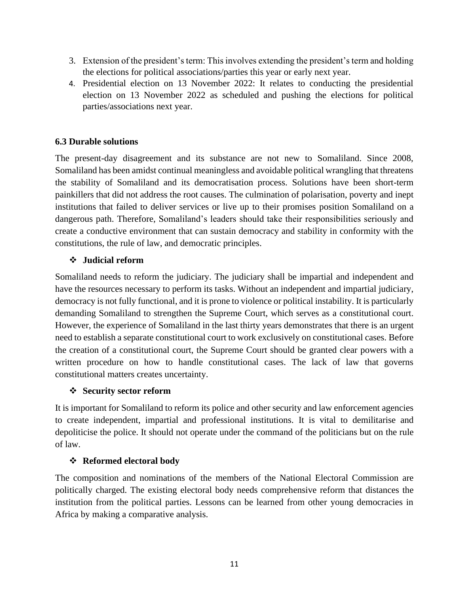- 3. Extension of the president's term: This involves extending the president's term and holding the elections for political associations/parties this year or early next year.
- 4. Presidential election on 13 November 2022: It relates to conducting the presidential election on 13 November 2022 as scheduled and pushing the elections for political parties/associations next year.

#### <span id="page-10-0"></span>**6.3 Durable solutions**

The present-day disagreement and its substance are not new to Somaliland. Since 2008, Somaliland has been amidst continual meaningless and avoidable political wrangling that threatens the stability of Somaliland and its democratisation process. Solutions have been short-term painkillers that did not address the root causes. The culmination of polarisation, poverty and inept institutions that failed to deliver services or live up to their promises position Somaliland on a dangerous path. Therefore, Somaliland's leaders should take their responsibilities seriously and create a conductive environment that can sustain democracy and stability in conformity with the constitutions, the rule of law, and democratic principles.

#### ❖ **Judicial reform**

Somaliland needs to reform the judiciary. The judiciary shall be impartial and independent and have the resources necessary to perform its tasks. Without an independent and impartial judiciary, democracy is not fully functional, and it is prone to violence or political instability. It is particularly demanding Somaliland to strengthen the Supreme Court, which serves as a constitutional court. However, the experience of Somaliland in the last thirty years demonstrates that there is an urgent need to establish a separate constitutional court to work exclusively on constitutional cases. Before the creation of a constitutional court, the Supreme Court should be granted clear powers with a written procedure on how to handle constitutional cases. The lack of law that governs constitutional matters creates uncertainty.

#### ❖ **Security sector reform**

It is important for Somaliland to reform its police and other security and law enforcement agencies to create independent, impartial and professional institutions. It is vital to demilitarise and depoliticise the police. It should not operate under the command of the politicians but on the rule of law.

#### ❖ **Reformed electoral body**

The composition and nominations of the members of the National Electoral Commission are politically charged. The existing electoral body needs comprehensive reform that distances the institution from the political parties. Lessons can be learned from other young democracies in Africa by making a comparative analysis.